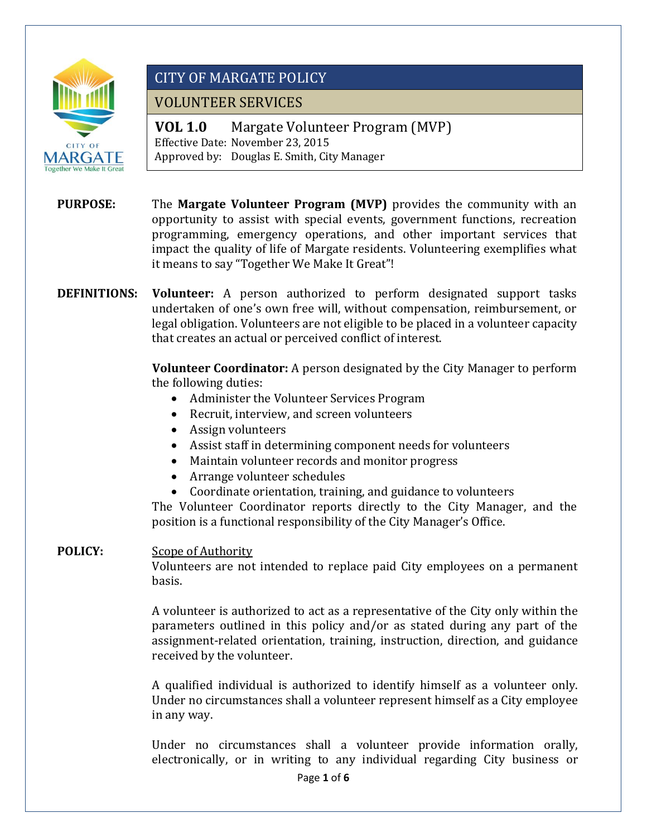

VOLUNTEER SERVICES

**VOL 1.0** Margate Volunteer Program (MVP): Effective Date: November 23, 2015 Approved by: Douglas E. Smith, City Manager

**PURPOSE:** The **Margate Volunteer Program (MVP)** provides the community with an opportunity to assist with special events, government functions, recreation programming, emergency operations, and other important services that impact the quality of life of Margate residents. Volunteering exemplifies what it means to say "Together We Make It Great"!

**DEFINITIONS: Volunteer:** A person authorized to perform designated support tasks undertaken of one's own free will, without compensation, reimbursement, or legal obligation. Volunteers are not eligible to be placed in a volunteer capacity that creates an actual or perceived conflict of interest.

> **Volunteer Coordinator:** A person designated by the City Manager to perform the following duties:

Business Attitude in the Superior Community of the Superior Community of the Superior Community of the Superior<br>Superior Community of the Superior Community of the Superior Community of the Superior Community of the Superi

- Administer the Volunteer Services Program
- Recruit, interview, and screen volunteers
- Assign volunteers
- Assist staff in determining component needs for volunteers
- Maintain volunteer records and monitor progress
- Arrange volunteer schedules
- Coordinate orientation, training, and guidance to volunteers

The Volunteer Coordinator reports directly to the City Manager, and the position is a functional responsibility of the City Manager's Office.

#### **POLICY:** Scope of Authority

Volunteers are not intended to replace paid City employees on a permanent basis.

A volunteer is authorized to act as a representative of the City only within the parameters outlined in this policy and/or as stated during any part of the assignment-related orientation, training, instruction, direction, and guidance received by the volunteer.

A qualified individual is authorized to identify himself as a volunteer only. Under no circumstances shall a volunteer represent himself as a City employee in any way.

Under no circumstances shall a volunteer provide information orally, electronically, or in writing to any individual regarding City business or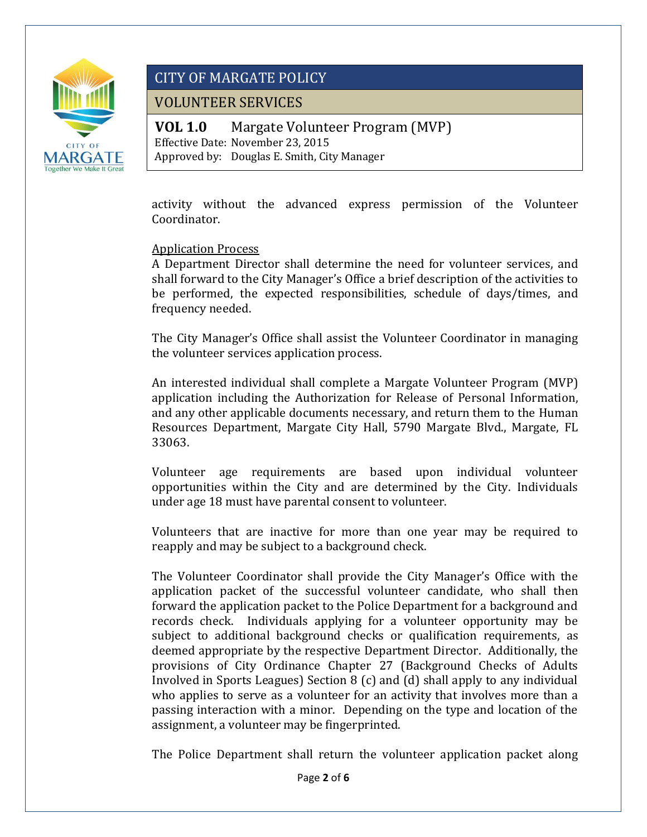

VOLUNTEER SERVICES

**VOL 1.0** Margate Volunteer Program (MVP): Effective Date: November 23, 2015 Approved by: Douglas E. Smith, City Manager

activity without the advanced express permission of the Volunteer Coordinator.

Business Attitude in the Superior Community of the Superior Community of the Superior Community of the Superior<br>Superior Community of the Superior Community of the Superior Community of the Superior Community of the Superi

#### Application Process

A Department Director shall determine the need for volunteer services, and shall forward to the City Manager's Office a brief description of the activities to be performed, the expected responsibilities, schedule of days/times, and frequency needed.

The City Manager's Office shall assist the Volunteer Coordinator in managing the volunteer services application process.

An interested individual shall complete a Margate Volunteer Program (MVP) application including the Authorization for Release of Personal Information, and any other applicable documents necessary, and return them to the Human Resources Department, Margate City Hall, 5790 Margate Blvd., Margate, FL 33063.

Volunteer age requirements are based upon individual volunteer opportunities within the City and are determined by the City. Individuals under age 18 must have parental consent to volunteer.

Volunteers that are inactive for more than one year may be required to reapply and may be subject to a background check.

The Volunteer Coordinator shall provide the City Manager's Office with the application packet of the successful volunteer candidate, who shall then forward the application packet to the Police Department for a background and records check. Individuals applying for a volunteer opportunity may be subject to additional background checks or qualification requirements, as deemed appropriate by the respective Department Director. Additionally, the provisions of City Ordinance Chapter 27 (Background Checks of Adults Involved in Sports Leagues) Section 8 (c) and (d) shall apply to any individual who applies to serve as a volunteer for an activity that involves more than a passing interaction with a minor. Depending on the type and location of the assignment, a volunteer may be fingerprinted.

The Police Department shall return the volunteer application packet along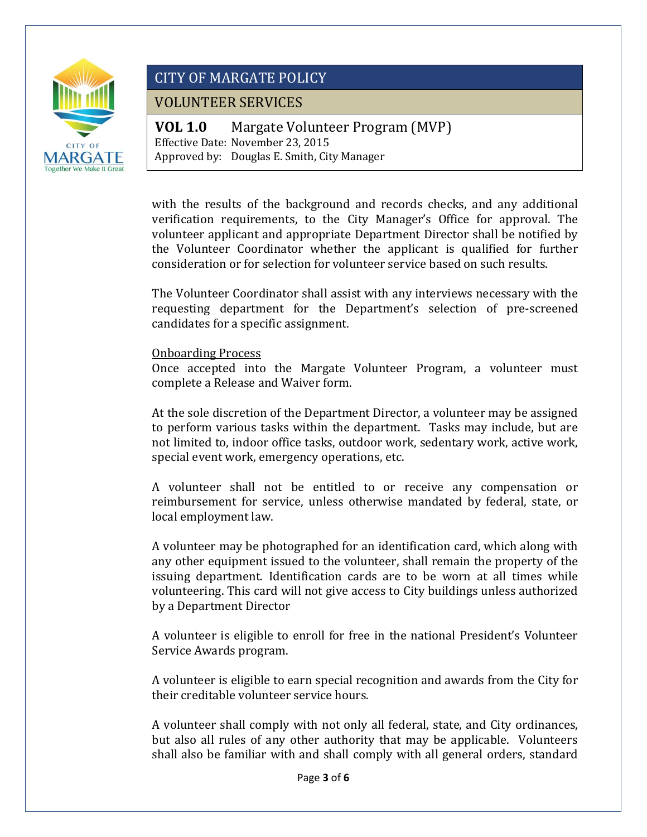

VOLUNTEER SERVICES

**VOL 1.0** Margate Volunteer Program (MVP): Effective Date: November 23, 2015 Approved by: Douglas E. Smith, City Manager

with the results of the background and records checks, and any additional verification requirements, to the City Manager's Office for approval. The volunteer applicant and appropriate Department Director shall be notified by the Volunteer Coordinator whether the applicant is qualified for further consideration or for selection for volunteer service based on such results.

Business Attitude in the Superior Community of the Superior Community of the Superior Community of the Superior<br>Superior Community of the Superior Community of the Superior Community of the Superior Community of the Superi

The Volunteer Coordinator shall assist with any interviews necessary with the requesting department for the Department's selection of pre-screened candidates for a specific assignment.

#### Onboarding Process

Once accepted into the Margate Volunteer Program, a volunteer must complete a Release and Waiver form.

At the sole discretion of the Department Director, a volunteer may be assigned to perform various tasks within the department. Tasks may include, but are not limited to, indoor office tasks, outdoor work, sedentary work, active work, special event work, emergency operations, etc.

A volunteer shall not be entitled to or receive any compensation or reimbursement for service, unless otherwise mandated by federal, state, or local employment law.

A volunteer may be photographed for an identification card, which along with any other equipment issued to the volunteer, shall remain the property of the issuing department. Identification cards are to be worn at all times while volunteering. This card will not give access to City buildings unless authorized by a Department Director

A volunteer is eligible to enroll for free in the national President's Volunteer Service Awards program.

A volunteer is eligible to earn special recognition and awards from the City for their creditable volunteer service hours.

A volunteer shall comply with not only all federal, state, and City ordinances, but also all rules of any other authority that may be applicable. Volunteers shall also be familiar with and shall comply with all general orders, standard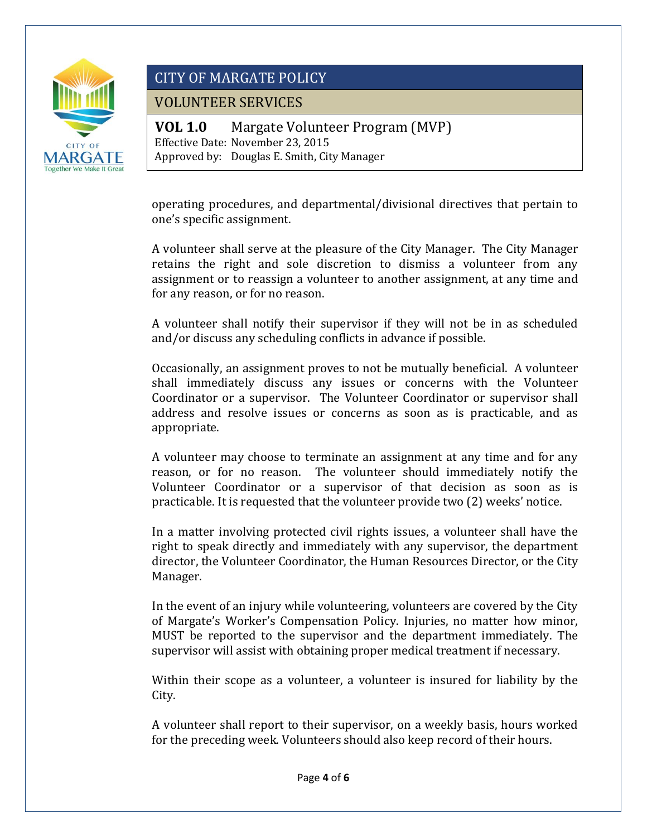

VOLUNTEER SERVICES

**VOL 1.0** Margate Volunteer Program (MVP): Effective Date: November 23, 2015 Approved by: Douglas E. Smith, City Manager

operating procedures, and departmental/divisional directives that pertain to one's specific assignment.

Business Attitude in the Superior Community of the Superior Community of the Superior Community of the Superior<br>Superior Community of the Superior Community of the Superior Community of the Superior Community of the Superi

A volunteer shall serve at the pleasure of the City Manager. The City Manager retains the right and sole discretion to dismiss a volunteer from any assignment or to reassign a volunteer to another assignment, at any time and for any reason, or for no reason.

A volunteer shall notify their supervisor if they will not be in as scheduled and/or discuss any scheduling conflicts in advance if possible.

Occasionally, an assignment proves to not be mutually beneficial. A volunteer shall immediately discuss any issues or concerns with the Volunteer Coordinator or a supervisor. The Volunteer Coordinator or supervisor shall address and resolve issues or concerns as soon as is practicable, and as appropriate.

A volunteer may choose to terminate an assignment at any time and for any reason, or for no reason. The volunteer should immediately notify the Volunteer Coordinator or a supervisor of that decision as soon as is practicable. It is requested that the volunteer provide two (2) weeks' notice.

In a matter involving protected civil rights issues, a volunteer shall have the right to speak directly and immediately with any supervisor, the department director, the Volunteer Coordinator, the Human Resources Director, or the City Manager.

In the event of an injury while volunteering, volunteers are covered by the City of Margate's Worker's Compensation Policy. Injuries, no matter how minor, MUST be reported to the supervisor and the department immediately. The supervisor will assist with obtaining proper medical treatment if necessary.

Within their scope as a volunteer, a volunteer is insured for liability by the City.

A volunteer shall report to their supervisor, on a weekly basis, hours worked for the preceding week. Volunteers should also keep record of their hours.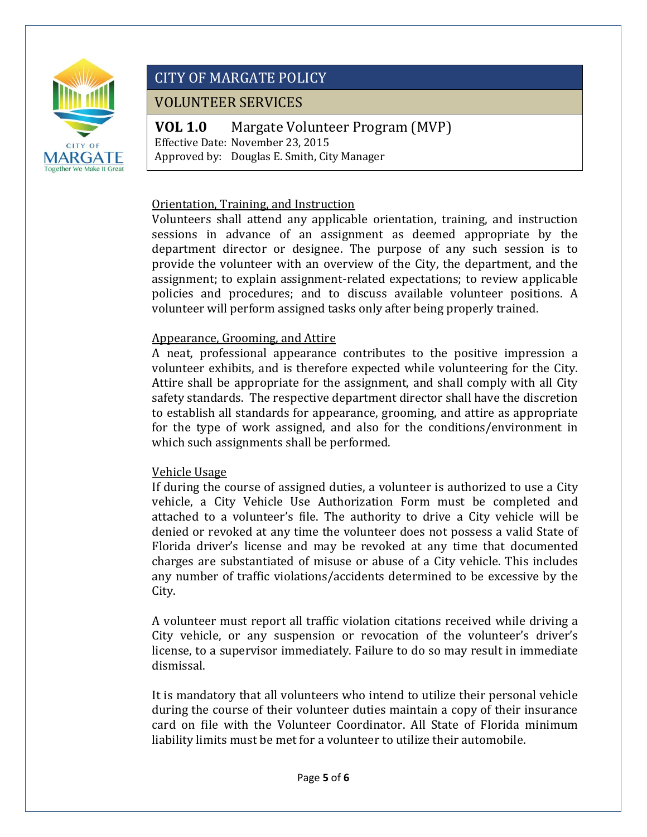

### VOLUNTEER SERVICES

**VOL 1.0** Margate Volunteer Program (MVP): Effective Date: November 23, 2015 Approved by: Douglas E. Smith, City Manager

#### Orientation, Training, and Instruction

Volunteers shall attend any applicable orientation, training, and instruction sessions in advance of an assignment as deemed appropriate by the department director or designee. The purpose of any such session is to provide the volunteer with an overview of the City, the department, and the assignment; to explain assignment-related expectations; to review applicable policies and procedures; and to discuss available volunteer positions. A volunteer will perform assigned tasks only after being properly trained.

Business Attitude in the Superior Community of the Superior Community of the Superior Community of the Superior<br>Superior Community of the Superior Community of the Superior Community of the Superior Community of the Superi

#### Appearance, Grooming, and Attire

A neat, professional appearance contributes to the positive impression a volunteer exhibits, and is therefore expected while volunteering for the City. Attire shall be appropriate for the assignment, and shall comply with all City safety standards. The respective department director shall have the discretion to establish all standards for appearance, grooming, and attire as appropriate for the type of work assigned, and also for the conditions/environment in which such assignments shall be performed.

#### Vehicle Usage

If during the course of assigned duties, a volunteer is authorized to use a City vehicle, a City Vehicle Use Authorization Form must be completed and attached to a volunteer's file. The authority to drive a City vehicle will be denied or revoked at any time the volunteer does not possess a valid State of Florida driver's license and may be revoked at any time that documented charges are substantiated of misuse or abuse of a City vehicle. This includes any number of traffic violations/accidents determined to be excessive by the City.

A volunteer must report all traffic violation citations received while driving a City vehicle, or any suspension or revocation of the volunteer's driver's license, to a supervisor immediately. Failure to do so may result in immediate dismissal.

It is mandatory that all volunteers who intend to utilize their personal vehicle during the course of their volunteer duties maintain a copy of their insurance card on file with the Volunteer Coordinator. All State of Florida minimum liability limits must be met for a volunteer to utilize their automobile.